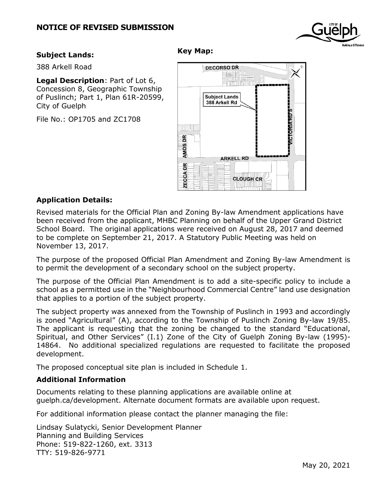## **NOTICE OF REVISED SUBMISSION**

#### **Subject Lands:**

388 Arkell Road

**Legal Description**: Part of Lot 6, Concession 8, Geographic Township of Puslinch; Part 1, Plan 61R-20599, City of Guelph

File No.: OP1705 and ZC1708

# ‡‡æœme E ATTUUNINT **Subject Lands** 388 Arkell Rd **DRIA RDS William** DR AMOS<sub>I</sub> **ARKELL RD** DΚ **ZECCA CLOUGH CR**

**DECORSO DR** 

#### **Application Details:**

Revised materials for the Official Plan and Zoning By-law Amendment applications have been received from the applicant, MHBC Planning on behalf of the Upper Grand District School Board. The original applications were received on August 28, 2017 and deemed to be complete on September 21, 2017. A Statutory Public Meeting was held on November 13, 2017.

**Key Map:**

The purpose of the proposed Official Plan Amendment and Zoning By-law Amendment is to permit the development of a secondary school on the subject property.

The purpose of the Official Plan Amendment is to add a site-specific policy to include a school as a permitted use in the "Neighbourhood Commercial Centre" land use designation that applies to a portion of the subject property.

The subject property was annexed from the Township of Puslinch in 1993 and accordingly is zoned "Agricultural" (A), according to the Township of Puslinch Zoning By-law 19/85. The applicant is requesting that the zoning be changed to the standard "Educational, Spiritual, and Other Services" (I.1) Zone of the City of Guelph Zoning By-law (1995)- 14864. No additional specialized regulations are requested to facilitate the proposed development.

The proposed conceptual site plan is included in Schedule 1.

#### **Additional Information**

Documents relating to these planning applications are available online at guelph.ca/development. Alternate document formats are available upon request.

For additional information please contact the planner managing the file:

Lindsay Sulatycki, Senior Development Planner Planning and Building Services Phone: 519-822-1260, ext. 3313 TTY: 519-826-9771

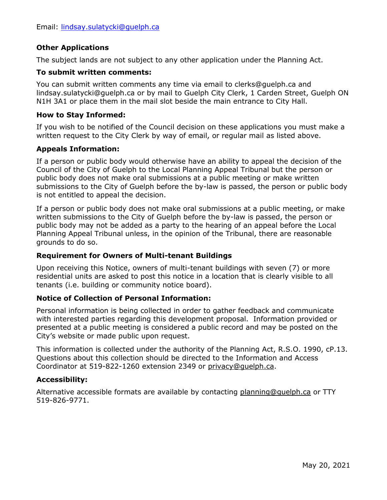## **Other Applications**

The subject lands are not subject to any other application under the Planning Act.

#### **To submit written comments:**

You can submit written comments any time via email to clerks@guelph.ca and [lindsay.sulatycki@guelph.ca](mailto:lindsay.sulatycki@guelph.ca) or by mail to Guelph City Clerk, 1 Carden Street, Guelph ON N1H 3A1 or place them in the mail slot beside the main entrance to City Hall.

### **How to Stay Informed:**

If you wish to be notified of the Council decision on these applications you must make a written request to the City Clerk by way of email, or regular mail as listed above.

### **Appeals Information:**

If a person or public body would otherwise have an ability to appeal the decision of the Council of the City of Guelph to the Local Planning Appeal Tribunal but the person or public body does not make oral submissions at a public meeting or make written submissions to the City of Guelph before the by-law is passed, the person or public body is not entitled to appeal the decision.

If a person or public body does not make oral submissions at a public meeting, or make written submissions to the City of Guelph before the by-law is passed, the person or public body may not be added as a party to the hearing of an appeal before the Local Planning Appeal Tribunal unless, in the opinion of the Tribunal, there are reasonable grounds to do so.

## **Requirement for Owners of Multi-tenant Buildings**

Upon receiving this Notice, owners of multi-tenant buildings with seven (7) or more residential units are asked to post this notice in a location that is clearly visible to all tenants (i.e. building or community notice board).

## **Notice of Collection of Personal Information:**

Personal information is being collected in order to gather feedback and communicate with interested parties regarding this development proposal. Information provided or presented at a public meeting is considered a public record and may be posted on the City's website or made public upon request.

This information is collected under the authority of the Planning Act, R.S.O. 1990, cP.13. Questions about this collection should be directed to the Information and Access Coordinator at 519-822-1260 extension 2349 or [privacy@guelph.ca.](mailto:privacy@guelph.ca)

## **Accessibility:**

Alternative accessible formats are available by contacting [planning@guelph.ca](mailto:planning@guelph.ca) or TTY 519-826-9771.